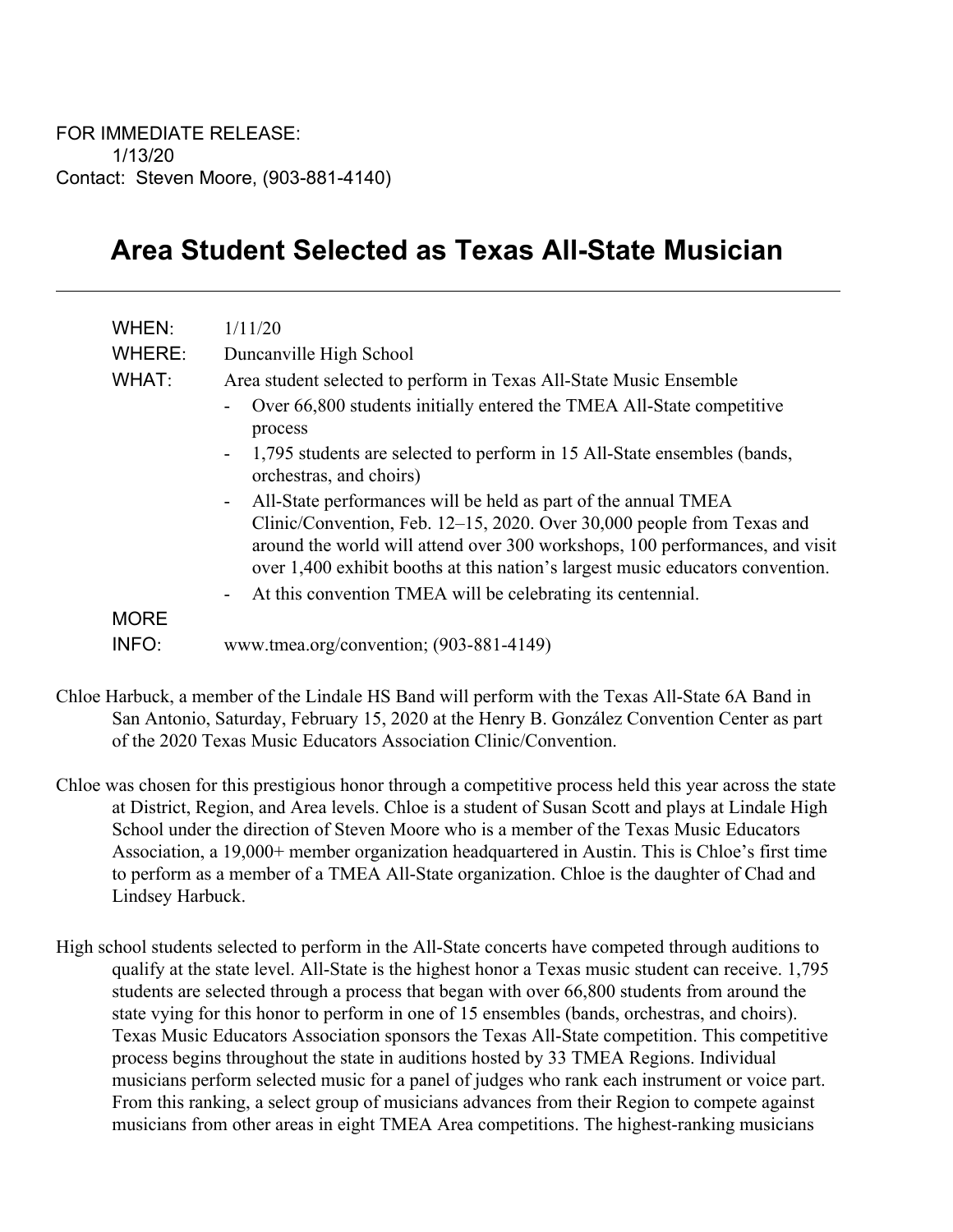## **Area Student Selected as Texas All-State Musician**

| WHEN:                | 1/11/20                                                                                                                                                                                                                                                                                                                                                                                                                 |
|----------------------|-------------------------------------------------------------------------------------------------------------------------------------------------------------------------------------------------------------------------------------------------------------------------------------------------------------------------------------------------------------------------------------------------------------------------|
| WHERE:               | Duncanville High School                                                                                                                                                                                                                                                                                                                                                                                                 |
| WHAT:                | Area student selected to perform in Texas All-State Music Ensemble                                                                                                                                                                                                                                                                                                                                                      |
|                      | Over 66,800 students initially entered the TMEA All-State competitive<br>process                                                                                                                                                                                                                                                                                                                                        |
|                      | 1,795 students are selected to perform in 15 All-State ensembles (bands,<br>$\overline{\phantom{a}}$<br>orchestras, and choirs)                                                                                                                                                                                                                                                                                         |
|                      | All-State performances will be held as part of the annual TMEA<br>$\blacksquare$<br>Clinic/Convention, Feb. 12-15, 2020. Over 30,000 people from Texas and<br>around the world will attend over 300 workshops, 100 performances, and visit<br>over 1,400 exhibit booths at this nation's largest music educators convention.<br>At this convention TMEA will be celebrating its centennial.<br>$\overline{\phantom{a}}$ |
| <b>MORE</b><br>INFO: | www.tmea.org/convention; (903-881-4149)                                                                                                                                                                                                                                                                                                                                                                                 |

- Chloe Harbuck, a member of the Lindale HS Band will perform with the Texas All-State 6A Band in San Antonio, Saturday, February 15, 2020 at the Henry B. González Convention Center as part of the 2020 Texas Music Educators Association Clinic/Convention.
- Chloe was chosen for this prestigious honor through a competitive process held this year across the state at District, Region, and Area levels. Chloe is a student of Susan Scott and plays at Lindale High School under the direction of Steven Moore who is a member of the Texas Music Educators Association, a 19,000+ member organization headquartered in Austin. This is Chloe's first time to perform as a member of a TMEA All-State organization. Chloe is the daughter of Chad and Lindsey Harbuck.
- High school students selected to perform in the All-State concerts have competed through auditions to qualify at the state level. All-State is the highest honor a Texas music student can receive. 1,795 students are selected through a process that began with over 66,800 students from around the state vying for this honor to perform in one of 15 ensembles (bands, orchestras, and choirs). Texas Music Educators Association sponsors the Texas All-State competition. This competitive process begins throughout the state in auditions hosted by 33 TMEA Regions. Individual musicians perform selected music for a panel of judges who rank each instrument or voice part. From this ranking, a select group of musicians advances from their Region to compete against musicians from other areas in eight TMEA Area competitions. The highest-ranking musicians